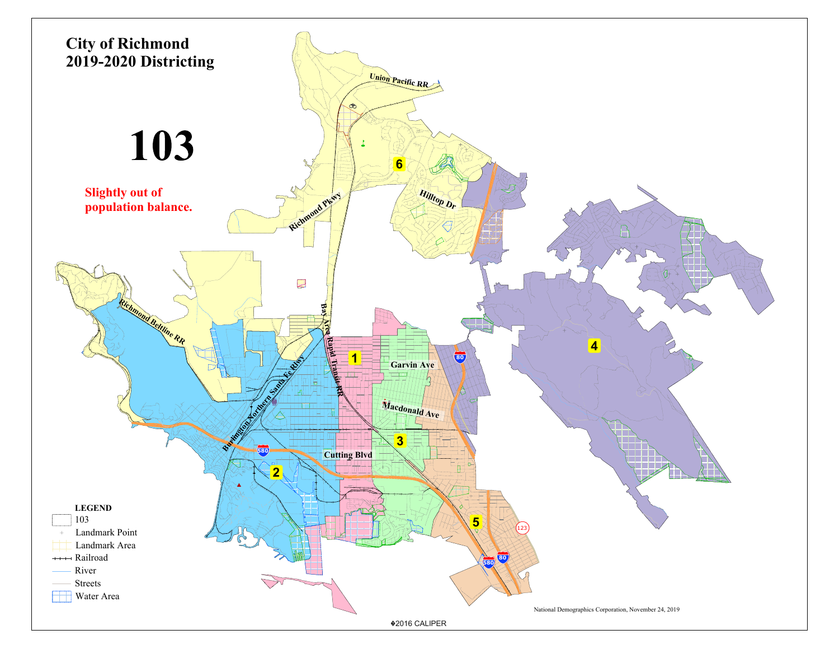